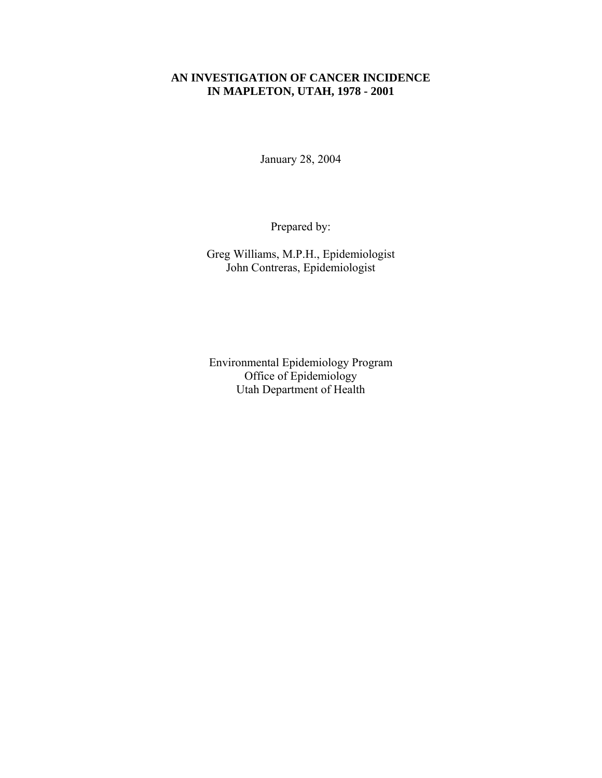### **AN INVESTIGATION OF CANCER INCIDENCE IN MAPLETON, UTAH, 1978 - 2001**

January 28, 2004

Prepared by:

Greg Williams, M.P.H., Epidemiologist John Contreras, Epidemiologist

Environmental Epidemiology Program Office of Epidemiology Utah Department of Health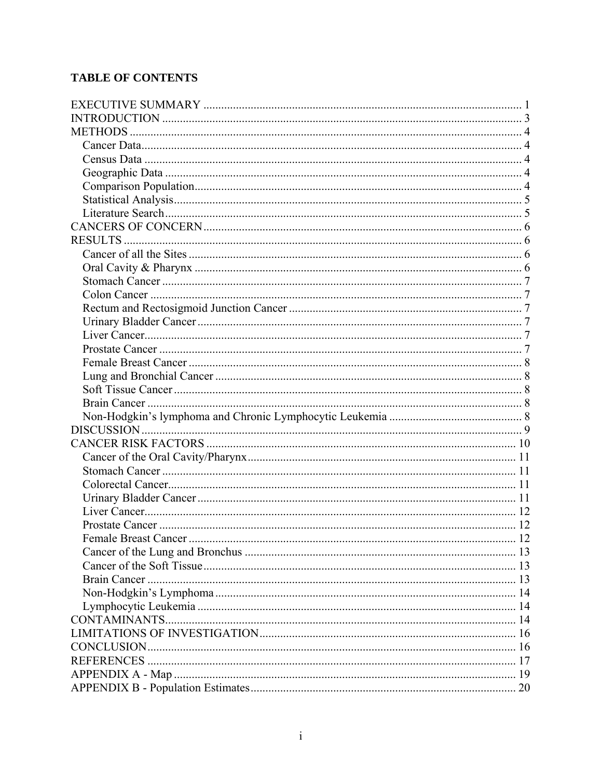# **TABLE OF CONTENTS**

| . 12<br>Female Breast Cancer |  |
|------------------------------|--|
|                              |  |
|                              |  |
|                              |  |
|                              |  |
|                              |  |
|                              |  |
|                              |  |
|                              |  |
|                              |  |
|                              |  |
|                              |  |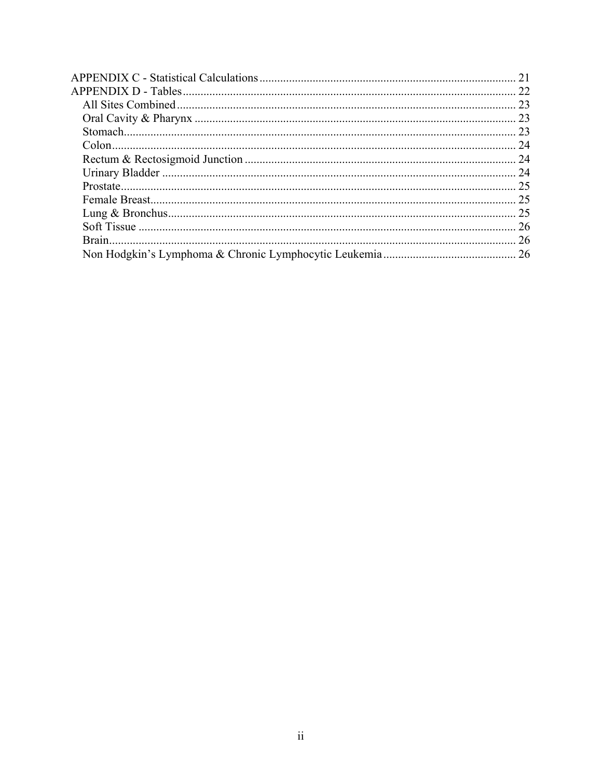| 26 |
|----|
|    |
|    |
|    |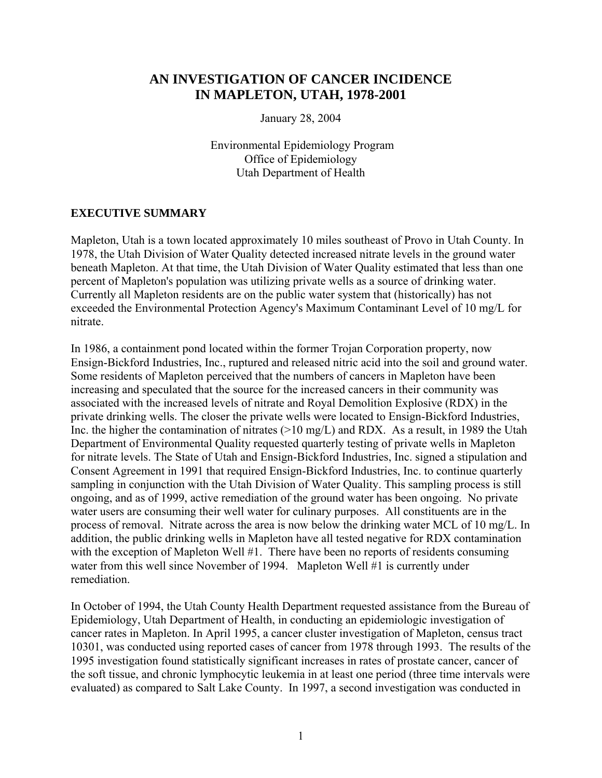# <span id="page-3-0"></span>**AN INVESTIGATION OF CANCER INCIDENCE IN MAPLETON, UTAH, 1978-2001**

January 28, 2004

 Environmental Epidemiology Program Office of Epidemiology Utah Department of Health

### **EXECUTIVE SUMMARY**

Mapleton, Utah is a town located approximately 10 miles southeast of Provo in Utah County. In 1978, the Utah Division of Water Quality detected increased nitrate levels in the ground water beneath Mapleton. At that time, the Utah Division of Water Quality estimated that less than one percent of Mapleton's population was utilizing private wells as a source of drinking water. Currently all Mapleton residents are on the public water system that (historically) has not exceeded the Environmental Protection Agency's Maximum Contaminant Level of 10 mg/L for nitrate.

In 1986, a containment pond located within the former Trojan Corporation property, now Ensign-Bickford Industries, Inc., ruptured and released nitric acid into the soil and ground water. Some residents of Mapleton perceived that the numbers of cancers in Mapleton have been increasing and speculated that the source for the increased cancers in their community was associated with the increased levels of nitrate and Royal Demolition Explosive (RDX) in the private drinking wells. The closer the private wells were located to Ensign-Bickford Industries, Inc. the higher the contamination of nitrates  $(>10 \text{ mg/L})$  and RDX. As a result, in 1989 the Utah Department of Environmental Quality requested quarterly testing of private wells in Mapleton for nitrate levels. The State of Utah and Ensign-Bickford Industries, Inc. signed a stipulation and Consent Agreement in 1991 that required Ensign-Bickford Industries, Inc. to continue quarterly sampling in conjunction with the Utah Division of Water Quality. This sampling process is still ongoing, and as of 1999, active remediation of the ground water has been ongoing. No private water users are consuming their well water for culinary purposes. All constituents are in the process of removal. Nitrate across the area is now below the drinking water MCL of 10 mg/L. In addition, the public drinking wells in Mapleton have all tested negative for RDX contamination with the exception of Mapleton Well #1. There have been no reports of residents consuming water from this well since November of 1994. Mapleton Well #1 is currently under remediation.

In October of 1994, the Utah County Health Department requested assistance from the Bureau of Epidemiology, Utah Department of Health, in conducting an epidemiologic investigation of cancer rates in Mapleton. In April 1995, a cancer cluster investigation of Mapleton, census tract 10301, was conducted using reported cases of cancer from 1978 through 1993. The results of the 1995 investigation found statistically significant increases in rates of prostate cancer, cancer of the soft tissue, and chronic lymphocytic leukemia in at least one period (three time intervals were evaluated) as compared to Salt Lake County. In 1997, a second investigation was conducted in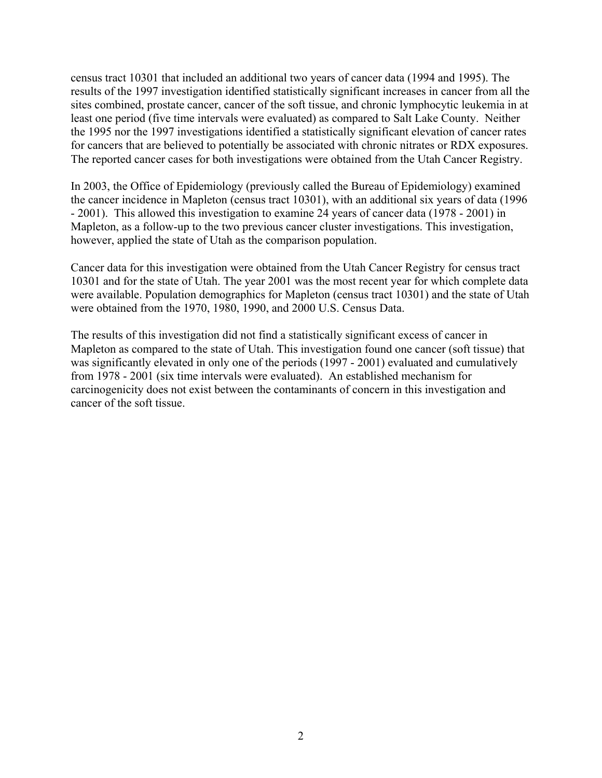census tract 10301 that included an additional two years of cancer data (1994 and 1995). The results of the 1997 investigation identified statistically significant increases in cancer from all the sites combined, prostate cancer, cancer of the soft tissue, and chronic lymphocytic leukemia in at least one period (five time intervals were evaluated) as compared to Salt Lake County. Neither the 1995 nor the 1997 investigations identified a statistically significant elevation of cancer rates for cancers that are believed to potentially be associated with chronic nitrates or RDX exposures. The reported cancer cases for both investigations were obtained from the Utah Cancer Registry.

In 2003, the Office of Epidemiology (previously called the Bureau of Epidemiology) examined the cancer incidence in Mapleton (census tract 10301), with an additional six years of data (1996 - 2001). This allowed this investigation to examine 24 years of cancer data (1978 - 2001) in Mapleton, as a follow-up to the two previous cancer cluster investigations. This investigation, however, applied the state of Utah as the comparison population.

Cancer data for this investigation were obtained from the Utah Cancer Registry for census tract 10301 and for the state of Utah. The year 2001 was the most recent year for which complete data were available. Population demographics for Mapleton (census tract 10301) and the state of Utah were obtained from the 1970, 1980, 1990, and 2000 U.S. Census Data.

The results of this investigation did not find a statistically significant excess of cancer in Mapleton as compared to the state of Utah. This investigation found one cancer (soft tissue) that was significantly elevated in only one of the periods (1997 - 2001) evaluated and cumulatively from 1978 - 2001 (six time intervals were evaluated). An established mechanism for carcinogenicity does not exist between the contaminants of concern in this investigation and cancer of the soft tissue.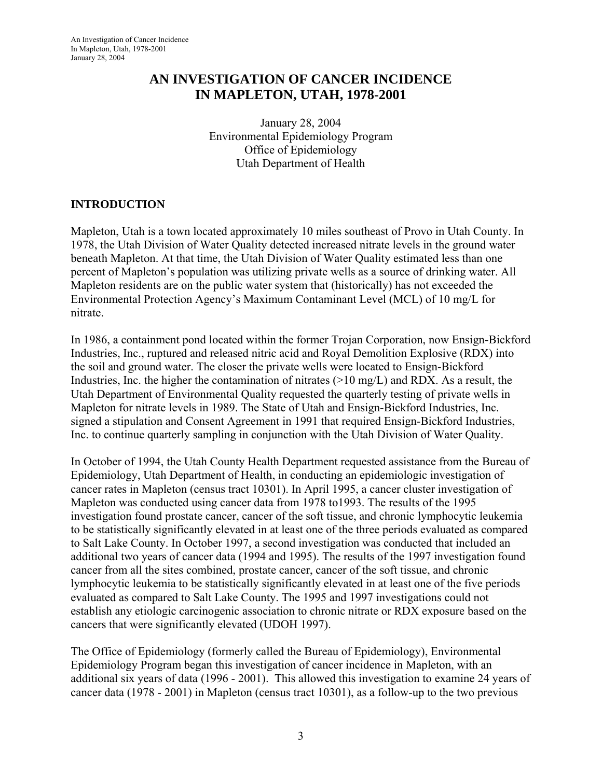# <span id="page-5-0"></span>**AN INVESTIGATION OF CANCER INCIDENCE IN MAPLETON, UTAH, 1978-2001**

January 28, 2004 Environmental Epidemiology Program Office of Epidemiology Utah Department of Health

# **INTRODUCTION**

Mapleton, Utah is a town located approximately 10 miles southeast of Provo in Utah County. In 1978, the Utah Division of Water Quality detected increased nitrate levels in the ground water beneath Mapleton. At that time, the Utah Division of Water Quality estimated less than one percent of Mapleton's population was utilizing private wells as a source of drinking water. All Mapleton residents are on the public water system that (historically) has not exceeded the Environmental Protection Agency's Maximum Contaminant Level (MCL) of 10 mg/L for nitrate.

In 1986, a containment pond located within the former Trojan Corporation, now Ensign-Bickford Industries, Inc., ruptured and released nitric acid and Royal Demolition Explosive (RDX) into the soil and ground water. The closer the private wells were located to Ensign-Bickford Industries, Inc. the higher the contamination of nitrates  $(>10 \text{ mg/L})$  and RDX. As a result, the Utah Department of Environmental Quality requested the quarterly testing of private wells in Mapleton for nitrate levels in 1989. The State of Utah and Ensign-Bickford Industries, Inc. signed a stipulation and Consent Agreement in 1991 that required Ensign-Bickford Industries, Inc. to continue quarterly sampling in conjunction with the Utah Division of Water Quality.

In October of 1994, the Utah County Health Department requested assistance from the Bureau of Epidemiology, Utah Department of Health, in conducting an epidemiologic investigation of cancer rates in Mapleton (census tract 10301). In April 1995, a cancer cluster investigation of Mapleton was conducted using cancer data from 1978 to1993. The results of the 1995 investigation found prostate cancer, cancer of the soft tissue, and chronic lymphocytic leukemia to be statistically significantly elevated in at least one of the three periods evaluated as compared to Salt Lake County. In October 1997, a second investigation was conducted that included an additional two years of cancer data (1994 and 1995). The results of the 1997 investigation found cancer from all the sites combined, prostate cancer, cancer of the soft tissue, and chronic lymphocytic leukemia to be statistically significantly elevated in at least one of the five periods evaluated as compared to Salt Lake County. The 1995 and 1997 investigations could not establish any etiologic carcinogenic association to chronic nitrate or RDX exposure based on the cancers that were significantly elevated (UDOH 1997).

The Office of Epidemiology (formerly called the Bureau of Epidemiology), Environmental Epidemiology Program began this investigation of cancer incidence in Mapleton, with an additional six years of data (1996 - 2001). This allowed this investigation to examine 24 years of cancer data (1978 - 2001) in Mapleton (census tract 10301), as a follow-up to the two previous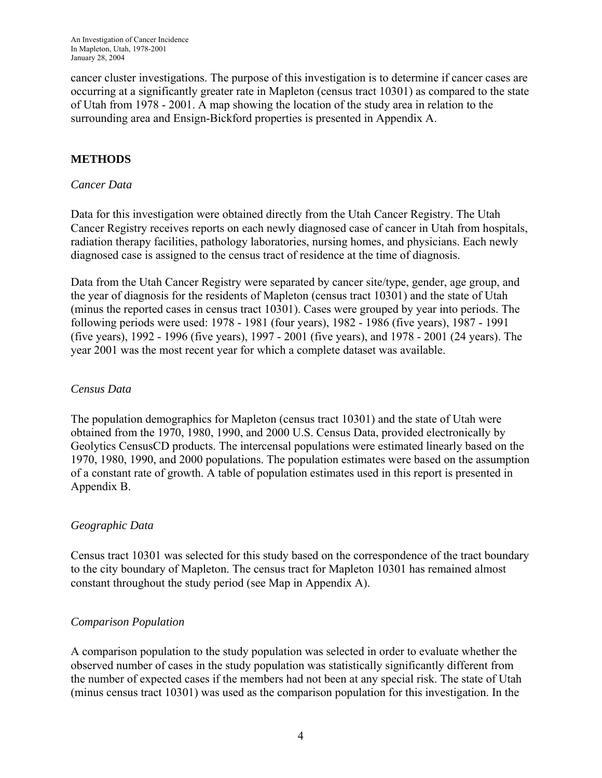<span id="page-6-0"></span>cancer cluster investigations. The purpose of this investigation is to determine if cancer cases are occurring at a significantly greater rate in Mapleton (census tract 10301) as compared to the state of Utah from 1978 - 2001. A map showing the location of the study area in relation to the surrounding area and Ensign-Bickford properties is presented in Appendix A.

# **METHODS**

#### *Cancer Data*

Data for this investigation were obtained directly from the Utah Cancer Registry. The Utah Cancer Registry receives reports on each newly diagnosed case of cancer in Utah from hospitals, radiation therapy facilities, pathology laboratories, nursing homes, and physicians. Each newly diagnosed case is assigned to the census tract of residence at the time of diagnosis.

Data from the Utah Cancer Registry were separated by cancer site/type, gender, age group, and the year of diagnosis for the residents of Mapleton (census tract 10301) and the state of Utah (minus the reported cases in census tract 10301). Cases were grouped by year into periods. The following periods were used: 1978 - 1981 (four years), 1982 - 1986 (five years), 1987 - 1991 (five years), 1992 - 1996 (five years), 1997 - 2001 (five years), and 1978 - 2001 (24 years). The year 2001 was the most recent year for which a complete dataset was available.

#### *Census Data*

The population demographics for Mapleton (census tract 10301) and the state of Utah were obtained from the 1970, 1980, 1990, and 2000 U.S. Census Data, provided electronically by Geolytics CensusCD products. The intercensal populations were estimated linearly based on the 1970, 1980, 1990, and 2000 populations. The population estimates were based on the assumption of a constant rate of growth. A table of population estimates used in this report is presented in Appendix B.

### *Geographic Data*

Census tract 10301 was selected for this study based on the correspondence of the tract boundary to the city boundary of Mapleton. The census tract for Mapleton 10301 has remained almost constant throughout the study period (see Map in Appendix A).

### *Comparison Population*

A comparison population to the study population was selected in order to evaluate whether the observed number of cases in the study population was statistically significantly different from the number of expected cases if the members had not been at any special risk. The state of Utah (minus census tract 10301) was used as the comparison population for this investigation. In the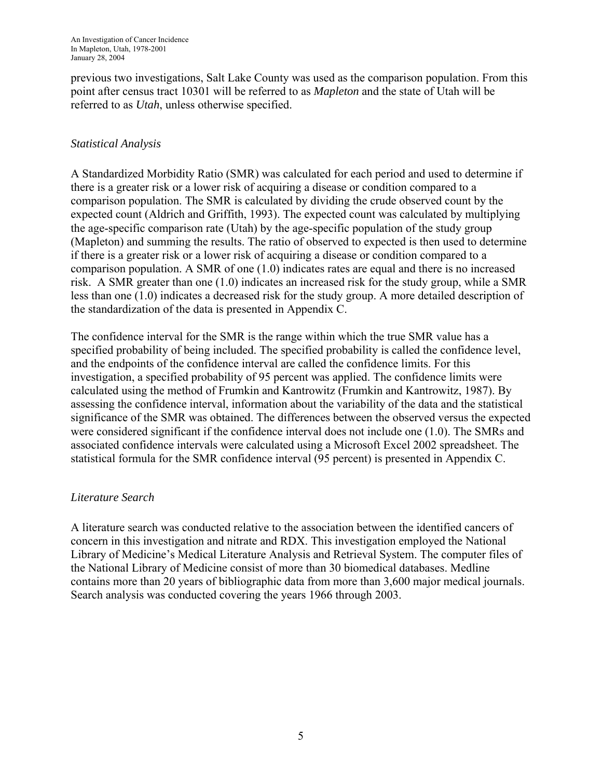<span id="page-7-0"></span>previous two investigations, Salt Lake County was used as the comparison population. From this point after census tract 10301 will be referred to as *Mapleton* and the state of Utah will be referred to as *Utah*, unless otherwise specified.

# *Statistical Analysis*

A Standardized Morbidity Ratio (SMR) was calculated for each period and used to determine if there is a greater risk or a lower risk of acquiring a disease or condition compared to a comparison population. The SMR is calculated by dividing the crude observed count by the expected count (Aldrich and Griffith, 1993). The expected count was calculated by multiplying the age-specific comparison rate (Utah) by the age-specific population of the study group (Mapleton) and summing the results. The ratio of observed to expected is then used to determine if there is a greater risk or a lower risk of acquiring a disease or condition compared to a comparison population. A SMR of one (1.0) indicates rates are equal and there is no increased risk. A SMR greater than one (1.0) indicates an increased risk for the study group, while a SMR less than one (1.0) indicates a decreased risk for the study group. A more detailed description of the standardization of the data is presented in Appendix C.

The confidence interval for the SMR is the range within which the true SMR value has a specified probability of being included. The specified probability is called the confidence level, and the endpoints of the confidence interval are called the confidence limits. For this investigation, a specified probability of 95 percent was applied. The confidence limits were calculated using the method of Frumkin and Kantrowitz (Frumkin and Kantrowitz, 1987). By assessing the confidence interval, information about the variability of the data and the statistical significance of the SMR was obtained. The differences between the observed versus the expected were considered significant if the confidence interval does not include one (1.0). The SMRs and associated confidence intervals were calculated using a Microsoft Excel 2002 spreadsheet. The statistical formula for the SMR confidence interval (95 percent) is presented in Appendix C.

### *Literature Search*

A literature search was conducted relative to the association between the identified cancers of concern in this investigation and nitrate and RDX. This investigation employed the National Library of Medicine's Medical Literature Analysis and Retrieval System. The computer files of the National Library of Medicine consist of more than 30 biomedical databases. Medline contains more than 20 years of bibliographic data from more than 3,600 major medical journals. Search analysis was conducted covering the years 1966 through 2003.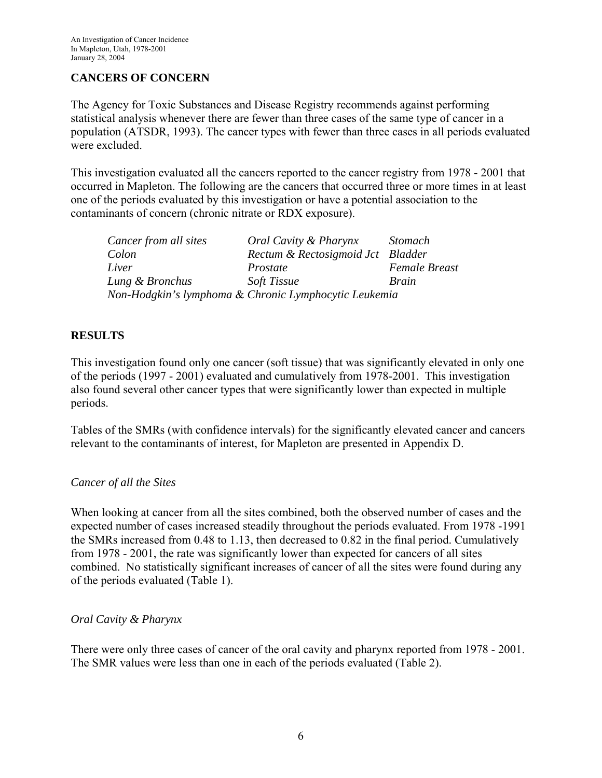# <span id="page-8-0"></span>**CANCERS OF CONCERN**

The Agency for Toxic Substances and Disease Registry recommends against performing statistical analysis whenever there are fewer than three cases of the same type of cancer in a population (ATSDR, 1993). The cancer types with fewer than three cases in all periods evaluated were excluded.

This investigation evaluated all the cancers reported to the cancer registry from 1978 - 2001 that occurred in Mapleton. The following are the cancers that occurred three or more times in at least one of the periods evaluated by this investigation or have a potential association to the contaminants of concern (chronic nitrate or RDX exposure).

| Cancer from all sites | Oral Cavity & Pharynx                                 | <i>Stomach</i>       |
|-----------------------|-------------------------------------------------------|----------------------|
| Colon                 | Rectum & Rectosigmoid Jct Bladder                     |                      |
| Liver                 | Prostate                                              | <b>Female Breast</b> |
| Lung & Bronchus       | <b>Soft Tissue</b>                                    | Brain                |
|                       | Non-Hodgkin's lymphoma & Chronic Lymphocytic Leukemia |                      |

### **RESULTS**

This investigation found only one cancer (soft tissue) that was significantly elevated in only one of the periods (1997 - 2001) evaluated and cumulatively from 1978-2001. This investigation also found several other cancer types that were significantly lower than expected in multiple periods.

Tables of the SMRs (with confidence intervals) for the significantly elevated cancer and cancers relevant to the contaminants of interest, for Mapleton are presented in Appendix D.

### *Cancer of all the Sites*

When looking at cancer from all the sites combined, both the observed number of cases and the expected number of cases increased steadily throughout the periods evaluated. From 1978 -1991 the SMRs increased from 0.48 to 1.13, then decreased to 0.82 in the final period. Cumulatively from 1978 - 2001, the rate was significantly lower than expected for cancers of all sites combined. No statistically significant increases of cancer of all the sites were found during any of the periods evaluated (Table 1).

#### *Oral Cavity & Pharynx*

There were only three cases of cancer of the oral cavity and pharynx reported from 1978 - 2001. The SMR values were less than one in each of the periods evaluated (Table 2).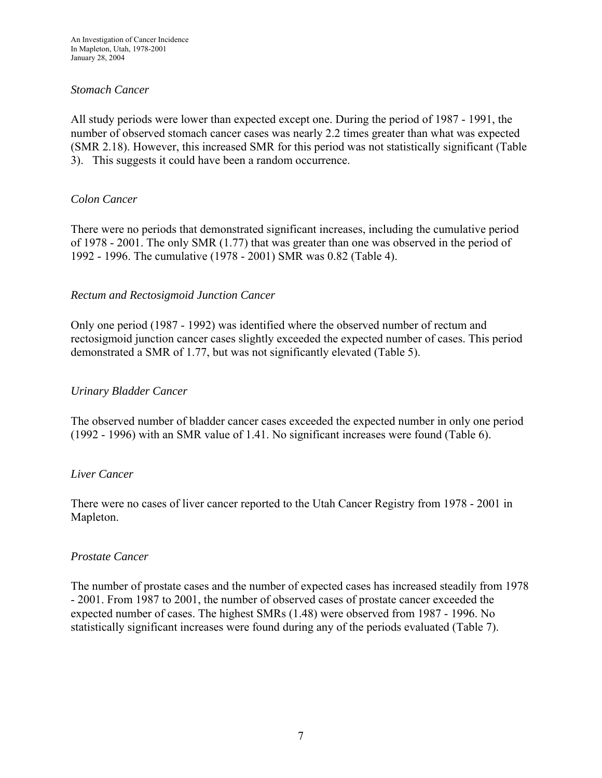#### <span id="page-9-0"></span>*Stomach Cancer*

All study periods were lower than expected except one. During the period of 1987 - 1991, the number of observed stomach cancer cases was nearly 2.2 times greater than what was expected (SMR 2.18). However, this increased SMR for this period was not statistically significant (Table 3). This suggests it could have been a random occurrence.

#### *Colon Cancer*

There were no periods that demonstrated significant increases, including the cumulative period of 1978 - 2001. The only SMR (1.77) that was greater than one was observed in the period of 1992 - 1996. The cumulative (1978 - 2001) SMR was 0.82 (Table 4).

#### *Rectum and Rectosigmoid Junction Cancer*

Only one period (1987 - 1992) was identified where the observed number of rectum and rectosigmoid junction cancer cases slightly exceeded the expected number of cases. This period demonstrated a SMR of 1.77, but was not significantly elevated (Table 5).

#### *Urinary Bladder Cancer*

The observed number of bladder cancer cases exceeded the expected number in only one period (1992 - 1996) with an SMR value of 1.41. No significant increases were found (Table 6).

#### *Liver Cancer*

There were no cases of liver cancer reported to the Utah Cancer Registry from 1978 - 2001 in Mapleton.

#### *Prostate Cancer*

The number of prostate cases and the number of expected cases has increased steadily from 1978 - 2001. From 1987 to 2001, the number of observed cases of prostate cancer exceeded the expected number of cases. The highest SMRs (1.48) were observed from 1987 - 1996. No statistically significant increases were found during any of the periods evaluated (Table 7).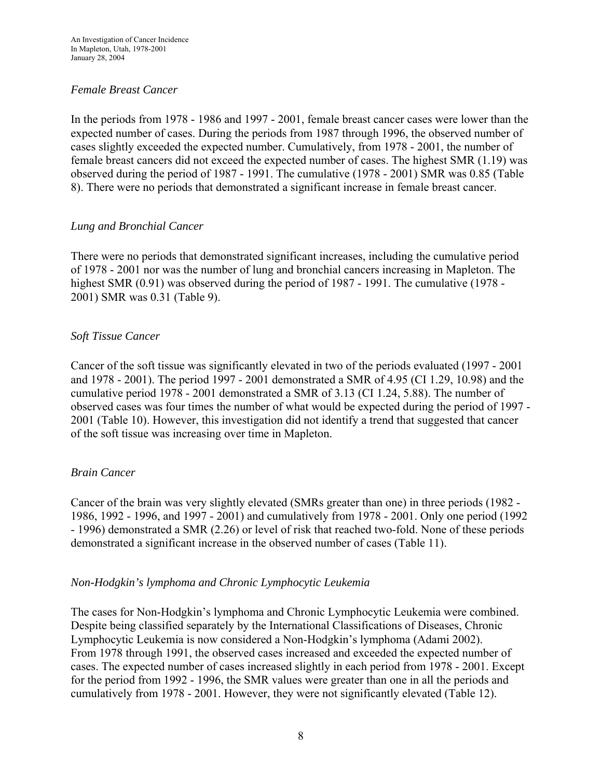### <span id="page-10-0"></span>*Female Breast Cancer*

In the periods from 1978 - 1986 and 1997 - 2001, female breast cancer cases were lower than the expected number of cases. During the periods from 1987 through 1996, the observed number of cases slightly exceeded the expected number. Cumulatively, from 1978 - 2001, the number of female breast cancers did not exceed the expected number of cases. The highest SMR (1.19) was observed during the period of 1987 - 1991. The cumulative (1978 - 2001) SMR was 0.85 (Table 8). There were no periods that demonstrated a significant increase in female breast cancer.

### *Lung and Bronchial Cancer*

There were no periods that demonstrated significant increases, including the cumulative period of 1978 - 2001 nor was the number of lung and bronchial cancers increasing in Mapleton. The highest SMR (0.91) was observed during the period of 1987 - 1991. The cumulative (1978 - 2001) SMR was 0.31 (Table 9).

### *Soft Tissue Cancer*

Cancer of the soft tissue was significantly elevated in two of the periods evaluated (1997 - 2001 and 1978 - 2001). The period 1997 - 2001 demonstrated a SMR of 4.95 (CI 1.29, 10.98) and the cumulative period 1978 - 2001 demonstrated a SMR of 3.13 (CI 1.24, 5.88). The number of observed cases was four times the number of what would be expected during the period of 1997 - 2001 (Table 10). However, this investigation did not identify a trend that suggested that cancer of the soft tissue was increasing over time in Mapleton.

### *Brain Cancer*

Cancer of the brain was very slightly elevated (SMRs greater than one) in three periods (1982 - 1986, 1992 - 1996, and 1997 - 2001) and cumulatively from 1978 - 2001. Only one period (1992 - 1996) demonstrated a SMR (2.26) or level of risk that reached two-fold. None of these periods demonstrated a significant increase in the observed number of cases (Table 11).

### *Non-Hodgkin's lymphoma and Chronic Lymphocytic Leukemia*

The cases for Non-Hodgkin's lymphoma and Chronic Lymphocytic Leukemia were combined. Despite being classified separately by the International Classifications of Diseases, Chronic Lymphocytic Leukemia is now considered a Non-Hodgkin's lymphoma (Adami 2002). From 1978 through 1991, the observed cases increased and exceeded the expected number of cases. The expected number of cases increased slightly in each period from 1978 - 2001. Except for the period from 1992 - 1996, the SMR values were greater than one in all the periods and cumulatively from 1978 - 2001. However, they were not significantly elevated (Table 12).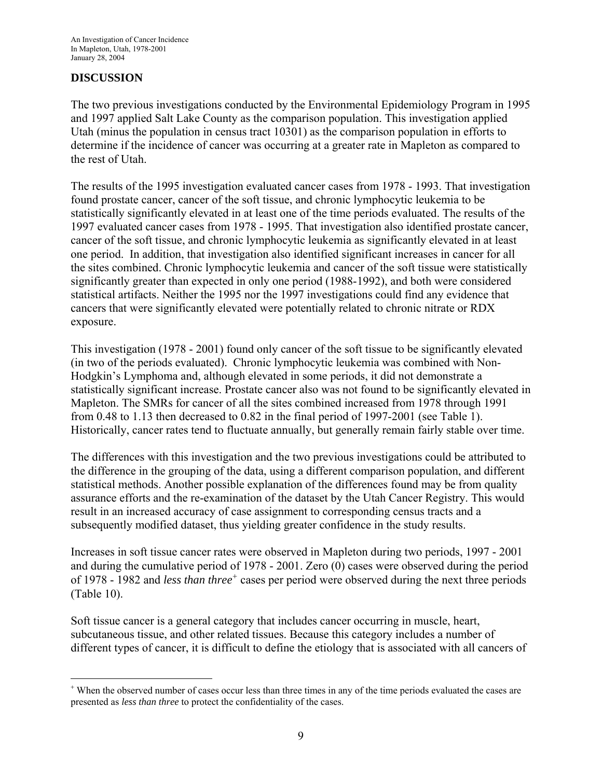### <span id="page-11-0"></span>**DISCUSSION**

 $\overline{a}$ 

The two previous investigations conducted by the Environmental Epidemiology Program in 1995 and 1997 applied Salt Lake County as the comparison population. This investigation applied Utah (minus the population in census tract 10301) as the comparison population in efforts to determine if the incidence of cancer was occurring at a greater rate in Mapleton as compared to the rest of Utah.

The results of the 1995 investigation evaluated cancer cases from 1978 - 1993. That investigation found prostate cancer, cancer of the soft tissue, and chronic lymphocytic leukemia to be statistically significantly elevated in at least one of the time periods evaluated. The results of the 1997 evaluated cancer cases from 1978 - 1995. That investigation also identified prostate cancer, cancer of the soft tissue, and chronic lymphocytic leukemia as significantly elevated in at least one period. In addition, that investigation also identified significant increases in cancer for all the sites combined. Chronic lymphocytic leukemia and cancer of the soft tissue were statistically significantly greater than expected in only one period (1988-1992), and both were considered statistical artifacts. Neither the 1995 nor the 1997 investigations could find any evidence that cancers that were significantly elevated were potentially related to chronic nitrate or RDX exposure.

This investigation (1978 - 2001) found only cancer of the soft tissue to be significantly elevated (in two of the periods evaluated). Chronic lymphocytic leukemia was combined with Non-Hodgkin's Lymphoma and, although elevated in some periods, it did not demonstrate a statistically significant increase. Prostate cancer also was not found to be significantly elevated in Mapleton. The SMRs for cancer of all the sites combined increased from 1978 through 1991 from 0.48 to 1.13 then decreased to 0.82 in the final period of 1997-2001 (see Table 1). Historically, cancer rates tend to fluctuate annually, but generally remain fairly stable over time.

The differences with this investigation and the two previous investigations could be attributed to the difference in the grouping of the data, using a different comparison population, and different statistical methods. Another possible explanation of the differences found may be from quality assurance efforts and the re-examination of the dataset by the Utah Cancer Registry. This would result in an increased accuracy of case assignment to corresponding census tracts and a subsequently modified dataset, thus yielding greater confidence in the study results.

Increases in soft tissue cancer rates were observed in Mapleton during two periods, 1997 - 2001 and during the cumulative period of 1978 - 2001. Zero (0) cases were observed during the period of 1978 - 1982 and *less than three*<sup>[+](#page-11-0)</sup> cases per period were observed during the next three periods (Table 10).

Soft tissue cancer is a general category that includes cancer occurring in muscle, heart, subcutaneous tissue, and other related tissues. Because this category includes a number of different types of cancer, it is difficult to define the etiology that is associated with all cancers of

<sup>+</sup> When the observed number of cases occur less than three times in any of the time periods evaluated the cases are presented as *less than three* to protect the confidentiality of the cases.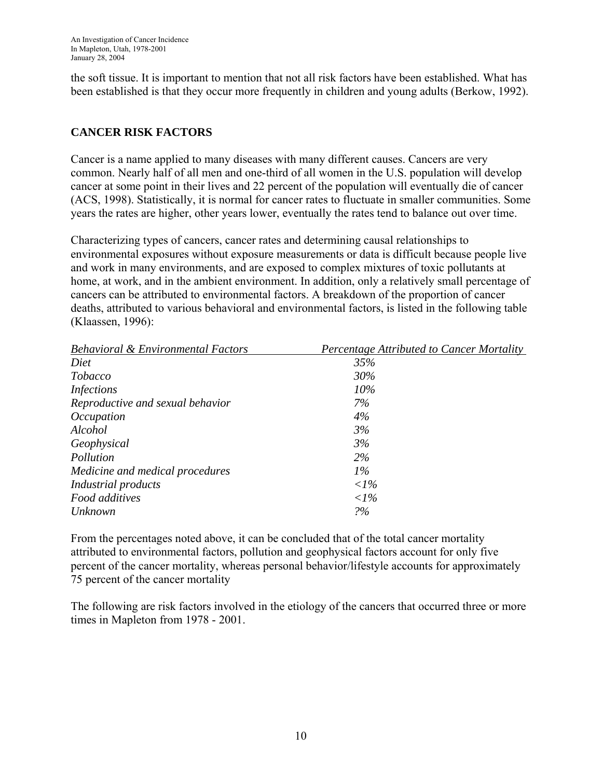<span id="page-12-0"></span>the soft tissue. It is important to mention that not all risk factors have been established. What has been established is that they occur more frequently in children and young adults (Berkow, 1992).

# **CANCER RISK FACTORS**

Cancer is a name applied to many diseases with many different causes. Cancers are very common. Nearly half of all men and one-third of all women in the U.S. population will develop cancer at some point in their lives and 22 percent of the population will eventually die of cancer (ACS, 1998). Statistically, it is normal for cancer rates to fluctuate in smaller communities. Some years the rates are higher, other years lower, eventually the rates tend to balance out over time.

Characterizing types of cancers, cancer rates and determining causal relationships to environmental exposures without exposure measurements or data is difficult because people live and work in many environments, and are exposed to complex mixtures of toxic pollutants at home, at work, and in the ambient environment. In addition, only a relatively small percentage of cancers can be attributed to environmental factors. A breakdown of the proportion of cancer deaths, attributed to various behavioral and environmental factors, is listed in the following table (Klaassen, 1996):

| <b>Behavioral &amp; Environmental Factors</b> | Percentage Attributed to Cancer Mortality |
|-----------------------------------------------|-------------------------------------------|
| Diet                                          | 35%                                       |
| <i>Tobacco</i>                                | 30%                                       |
| <i>Infections</i>                             | 10%                                       |
| Reproductive and sexual behavior              | 7%                                        |
| <i>Occupation</i>                             | 4%                                        |
| Alcohol                                       | 3%                                        |
| Geophysical                                   | 3%                                        |
| Pollution                                     | $2\%$                                     |
| Medicine and medical procedures               | $1\%$                                     |
| Industrial products                           | $\langle$ 1%                              |
| Food additives                                | $\langle$ 1%                              |
| Unknown                                       | 2%                                        |

From the percentages noted above, it can be concluded that of the total cancer mortality attributed to environmental factors, pollution and geophysical factors account for only five percent of the cancer mortality, whereas personal behavior/lifestyle accounts for approximately 75 percent of the cancer mortality

The following are risk factors involved in the etiology of the cancers that occurred three or more times in Mapleton from 1978 - 2001.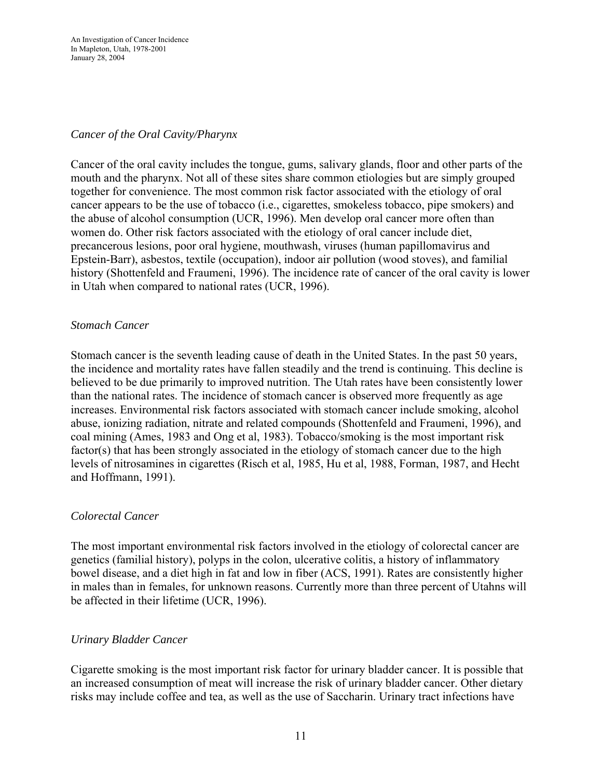## <span id="page-13-0"></span>*Cancer of the Oral Cavity/Pharynx*

Cancer of the oral cavity includes the tongue, gums, salivary glands, floor and other parts of the mouth and the pharynx. Not all of these sites share common etiologies but are simply grouped together for convenience. The most common risk factor associated with the etiology of oral cancer appears to be the use of tobacco (i.e., cigarettes, smokeless tobacco, pipe smokers) and the abuse of alcohol consumption (UCR, 1996). Men develop oral cancer more often than women do. Other risk factors associated with the etiology of oral cancer include diet, precancerous lesions, poor oral hygiene, mouthwash, viruses (human papillomavirus and Epstein-Barr), asbestos, textile (occupation), indoor air pollution (wood stoves), and familial history (Shottenfeld and Fraumeni, 1996). The incidence rate of cancer of the oral cavity is lower in Utah when compared to national rates (UCR, 1996).

### *Stomach Cancer*

Stomach cancer is the seventh leading cause of death in the United States. In the past 50 years, the incidence and mortality rates have fallen steadily and the trend is continuing. This decline is believed to be due primarily to improved nutrition. The Utah rates have been consistently lower than the national rates. The incidence of stomach cancer is observed more frequently as age increases. Environmental risk factors associated with stomach cancer include smoking, alcohol abuse, ionizing radiation, nitrate and related compounds (Shottenfeld and Fraumeni, 1996), and coal mining (Ames, 1983 and Ong et al, 1983). Tobacco/smoking is the most important risk factor(s) that has been strongly associated in the etiology of stomach cancer due to the high levels of nitrosamines in cigarettes (Risch et al, 1985, Hu et al, 1988, Forman, 1987, and Hecht and Hoffmann, 1991).

### *Colorectal Cancer*

The most important environmental risk factors involved in the etiology of colorectal cancer are genetics (familial history), polyps in the colon, ulcerative colitis, a history of inflammatory bowel disease, and a diet high in fat and low in fiber (ACS, 1991). Rates are consistently higher in males than in females, for unknown reasons. Currently more than three percent of Utahns will be affected in their lifetime (UCR, 1996).

### *Urinary Bladder Cancer*

Cigarette smoking is the most important risk factor for urinary bladder cancer. It is possible that an increased consumption of meat will increase the risk of urinary bladder cancer. Other dietary risks may include coffee and tea, as well as the use of Saccharin. Urinary tract infections have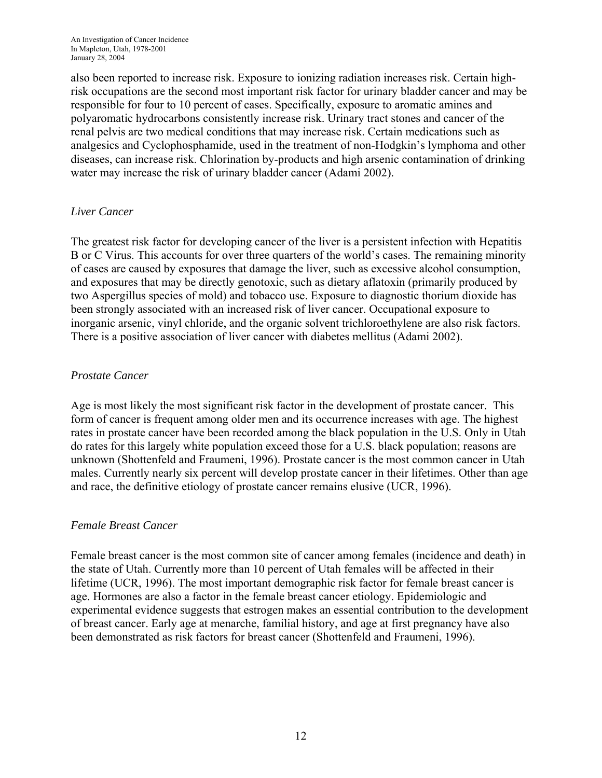<span id="page-14-0"></span>also been reported to increase risk. Exposure to ionizing radiation increases risk. Certain highrisk occupations are the second most important risk factor for urinary bladder cancer and may be responsible for four to 10 percent of cases. Specifically, exposure to aromatic amines and polyaromatic hydrocarbons consistently increase risk. Urinary tract stones and cancer of the renal pelvis are two medical conditions that may increase risk. Certain medications such as analgesics and Cyclophosphamide, used in the treatment of non-Hodgkin's lymphoma and other diseases, can increase risk. Chlorination by-products and high arsenic contamination of drinking water may increase the risk of urinary bladder cancer (Adami 2002).

### *Liver Cancer*

The greatest risk factor for developing cancer of the liver is a persistent infection with Hepatitis B or C Virus. This accounts for over three quarters of the world's cases. The remaining minority of cases are caused by exposures that damage the liver, such as excessive alcohol consumption, and exposures that may be directly genotoxic, such as dietary aflatoxin (primarily produced by two Aspergillus species of mold) and tobacco use. Exposure to diagnostic thorium dioxide has been strongly associated with an increased risk of liver cancer. Occupational exposure to inorganic arsenic, vinyl chloride, and the organic solvent trichloroethylene are also risk factors. There is a positive association of liver cancer with diabetes mellitus (Adami 2002).

# *Prostate Cancer*

Age is most likely the most significant risk factor in the development of prostate cancer. This form of cancer is frequent among older men and its occurrence increases with age. The highest rates in prostate cancer have been recorded among the black population in the U.S. Only in Utah do rates for this largely white population exceed those for a U.S. black population; reasons are unknown (Shottenfeld and Fraumeni, 1996). Prostate cancer is the most common cancer in Utah males. Currently nearly six percent will develop prostate cancer in their lifetimes. Other than age and race, the definitive etiology of prostate cancer remains elusive (UCR, 1996).

# *Female Breast Cancer*

Female breast cancer is the most common site of cancer among females (incidence and death) in the state of Utah. Currently more than 10 percent of Utah females will be affected in their lifetime (UCR, 1996). The most important demographic risk factor for female breast cancer is age. Hormones are also a factor in the female breast cancer etiology. Epidemiologic and experimental evidence suggests that estrogen makes an essential contribution to the development of breast cancer. Early age at menarche, familial history, and age at first pregnancy have also been demonstrated as risk factors for breast cancer (Shottenfeld and Fraumeni, 1996).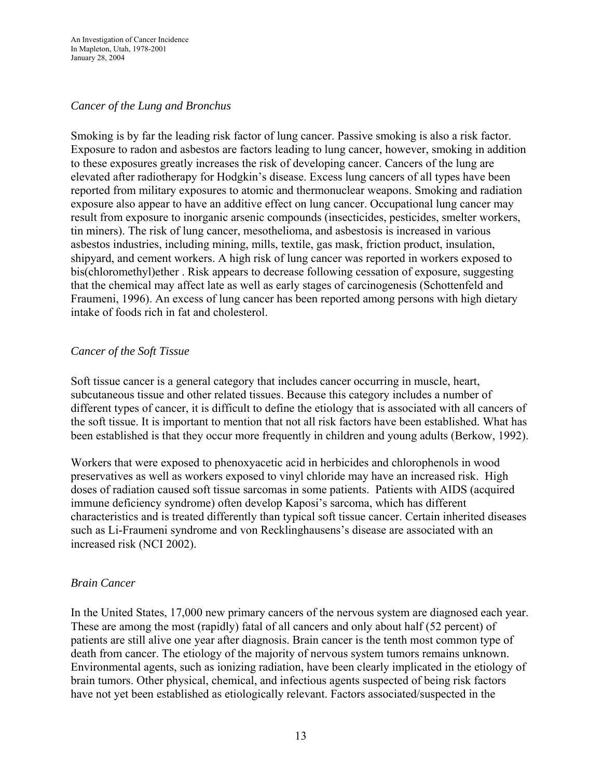#### <span id="page-15-0"></span>*Cancer of the Lung and Bronchus*

Smoking is by far the leading risk factor of lung cancer. Passive smoking is also a risk factor. Exposure to radon and asbestos are factors leading to lung cancer, however, smoking in addition to these exposures greatly increases the risk of developing cancer. Cancers of the lung are elevated after radiotherapy for Hodgkin's disease. Excess lung cancers of all types have been reported from military exposures to atomic and thermonuclear weapons. Smoking and radiation exposure also appear to have an additive effect on lung cancer. Occupational lung cancer may result from exposure to inorganic arsenic compounds (insecticides, pesticides, smelter workers, tin miners). The risk of lung cancer, mesothelioma, and asbestosis is increased in various asbestos industries, including mining, mills, textile, gas mask, friction product, insulation, shipyard, and cement workers. A high risk of lung cancer was reported in workers exposed to bis(chloromethyl)ether . Risk appears to decrease following cessation of exposure, suggesting that the chemical may affect late as well as early stages of carcinogenesis (Schottenfeld and Fraumeni, 1996). An excess of lung cancer has been reported among persons with high dietary intake of foods rich in fat and cholesterol.

#### *Cancer of the Soft Tissue*

Soft tissue cancer is a general category that includes cancer occurring in muscle, heart, subcutaneous tissue and other related tissues. Because this category includes a number of different types of cancer, it is difficult to define the etiology that is associated with all cancers of the soft tissue. It is important to mention that not all risk factors have been established. What has been established is that they occur more frequently in children and young adults (Berkow, 1992).

Workers that were exposed to phenoxyacetic acid in herbicides and chlorophenols in wood preservatives as well as workers exposed to vinyl chloride may have an increased risk. High doses of radiation caused soft tissue sarcomas in some patients. Patients with AIDS (acquired immune deficiency syndrome) often develop Kaposi's sarcoma, which has different characteristics and is treated differently than typical soft tissue cancer. Certain inherited diseases such as Li-Fraumeni syndrome and von Recklinghausens's disease are associated with an increased risk (NCI 2002).

#### *Brain Cancer*

In the United States, 17,000 new primary cancers of the nervous system are diagnosed each year. These are among the most (rapidly) fatal of all cancers and only about half (52 percent) of patients are still alive one year after diagnosis. Brain cancer is the tenth most common type of death from cancer. The etiology of the majority of nervous system tumors remains unknown. Environmental agents, such as ionizing radiation, have been clearly implicated in the etiology of brain tumors. Other physical, chemical, and infectious agents suspected of being risk factors have not yet been established as etiologically relevant. Factors associated/suspected in the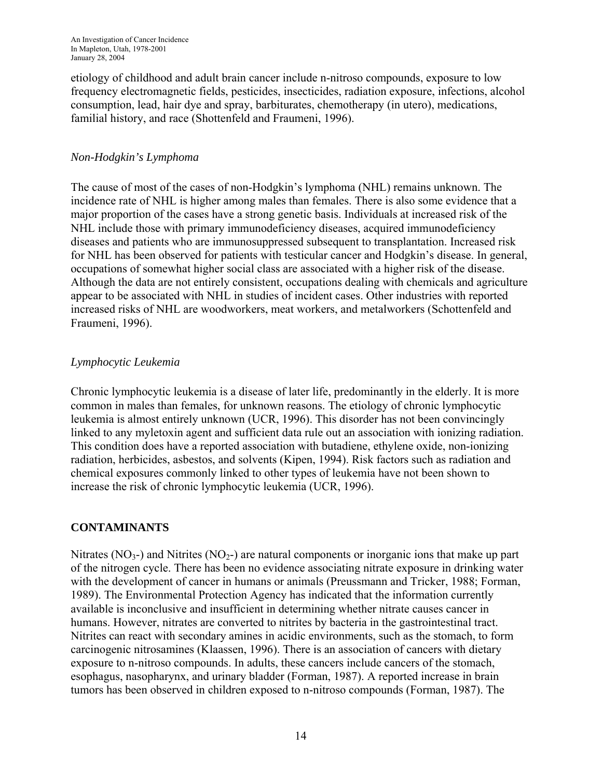<span id="page-16-0"></span>An Investigation of Cancer Incidence In Mapleton, Utah, 1978-2001 January 28, 2004

etiology of childhood and adult brain cancer include n-nitroso compounds, exposure to low frequency electromagnetic fields, pesticides, insecticides, radiation exposure, infections, alcohol consumption, lead, hair dye and spray, barbiturates, chemotherapy (in utero), medications, familial history, and race (Shottenfeld and Fraumeni, 1996).

#### *Non-Hodgkin's Lymphoma*

The cause of most of the cases of non-Hodgkin's lymphoma (NHL) remains unknown. The incidence rate of NHL is higher among males than females. There is also some evidence that a major proportion of the cases have a strong genetic basis. Individuals at increased risk of the NHL include those with primary immunodeficiency diseases, acquired immunodeficiency diseases and patients who are immunosuppressed subsequent to transplantation. Increased risk for NHL has been observed for patients with testicular cancer and Hodgkin's disease. In general, occupations of somewhat higher social class are associated with a higher risk of the disease. Although the data are not entirely consistent, occupations dealing with chemicals and agriculture appear to be associated with NHL in studies of incident cases. Other industries with reported increased risks of NHL are woodworkers, meat workers, and metalworkers (Schottenfeld and Fraumeni, 1996).

#### *Lymphocytic Leukemia*

Chronic lymphocytic leukemia is a disease of later life, predominantly in the elderly. It is more common in males than females, for unknown reasons. The etiology of chronic lymphocytic leukemia is almost entirely unknown (UCR, 1996). This disorder has not been convincingly linked to any myletoxin agent and sufficient data rule out an association with ionizing radiation. This condition does have a reported association with butadiene, ethylene oxide, non-ionizing radiation, herbicides, asbestos, and solvents (Kipen, 1994). Risk factors such as radiation and chemical exposures commonly linked to other types of leukemia have not been shown to increase the risk of chronic lymphocytic leukemia (UCR, 1996).

### **CONTAMINANTS**

Nitrates ( $NO<sub>3</sub>$ -) and Nitrites ( $NO<sub>2</sub>$ -) are natural components or inorganic ions that make up part of the nitrogen cycle. There has been no evidence associating nitrate exposure in drinking water with the development of cancer in humans or animals (Preussmann and Tricker, 1988; Forman, 1989). The Environmental Protection Agency has indicated that the information currently available is inconclusive and insufficient in determining whether nitrate causes cancer in humans. However, nitrates are converted to nitrites by bacteria in the gastrointestinal tract. Nitrites can react with secondary amines in acidic environments, such as the stomach, to form carcinogenic nitrosamines (Klaassen, 1996). There is an association of cancers with dietary exposure to n-nitroso compounds. In adults, these cancers include cancers of the stomach, esophagus, nasopharynx, and urinary bladder (Forman, 1987). A reported increase in brain tumors has been observed in children exposed to n-nitroso compounds (Forman, 1987). The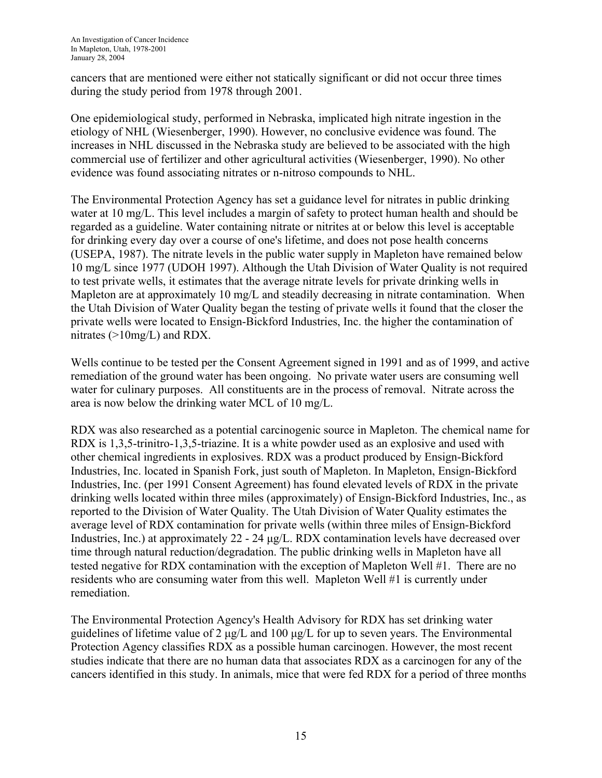cancers that are mentioned were either not statically significant or did not occur three times during the study period from 1978 through 2001.

One epidemiological study, performed in Nebraska, implicated high nitrate ingestion in the etiology of NHL (Wiesenberger, 1990). However, no conclusive evidence was found. The increases in NHL discussed in the Nebraska study are believed to be associated with the high commercial use of fertilizer and other agricultural activities (Wiesenberger, 1990). No other evidence was found associating nitrates or n-nitroso compounds to NHL.

The Environmental Protection Agency has set a guidance level for nitrates in public drinking water at 10 mg/L. This level includes a margin of safety to protect human health and should be regarded as a guideline. Water containing nitrate or nitrites at or below this level is acceptable for drinking every day over a course of one's lifetime, and does not pose health concerns (USEPA, 1987). The nitrate levels in the public water supply in Mapleton have remained below 10 mg/L since 1977 (UDOH 1997). Although the Utah Division of Water Quality is not required to test private wells, it estimates that the average nitrate levels for private drinking wells in Mapleton are at approximately 10 mg/L and steadily decreasing in nitrate contamination. When the Utah Division of Water Quality began the testing of private wells it found that the closer the private wells were located to Ensign-Bickford Industries, Inc. the higher the contamination of nitrates (>10mg/L) and RDX.

Wells continue to be tested per the Consent Agreement signed in 1991 and as of 1999, and active remediation of the ground water has been ongoing. No private water users are consuming well water for culinary purposes. All constituents are in the process of removal. Nitrate across the area is now below the drinking water MCL of 10 mg/L.

RDX was also researched as a potential carcinogenic source in Mapleton. The chemical name for RDX is 1,3,5-trinitro-1,3,5-triazine. It is a white powder used as an explosive and used with other chemical ingredients in explosives. RDX was a product produced by Ensign-Bickford Industries, Inc. located in Spanish Fork, just south of Mapleton. In Mapleton, Ensign-Bickford Industries, Inc. (per 1991 Consent Agreement) has found elevated levels of RDX in the private drinking wells located within three miles (approximately) of Ensign-Bickford Industries, Inc., as reported to the Division of Water Quality. The Utah Division of Water Quality estimates the average level of RDX contamination for private wells (within three miles of Ensign-Bickford Industries, Inc.) at approximately 22 - 24 μg/L. RDX contamination levels have decreased over time through natural reduction/degradation. The public drinking wells in Mapleton have all tested negative for RDX contamination with the exception of Mapleton Well #1. There are no residents who are consuming water from this well. Mapleton Well #1 is currently under remediation.

The Environmental Protection Agency's Health Advisory for RDX has set drinking water guidelines of lifetime value of 2 μg/L and 100 μg/L for up to seven years. The Environmental Protection Agency classifies RDX as a possible human carcinogen. However, the most recent studies indicate that there are no human data that associates RDX as a carcinogen for any of the cancers identified in this study. In animals, mice that were fed RDX for a period of three months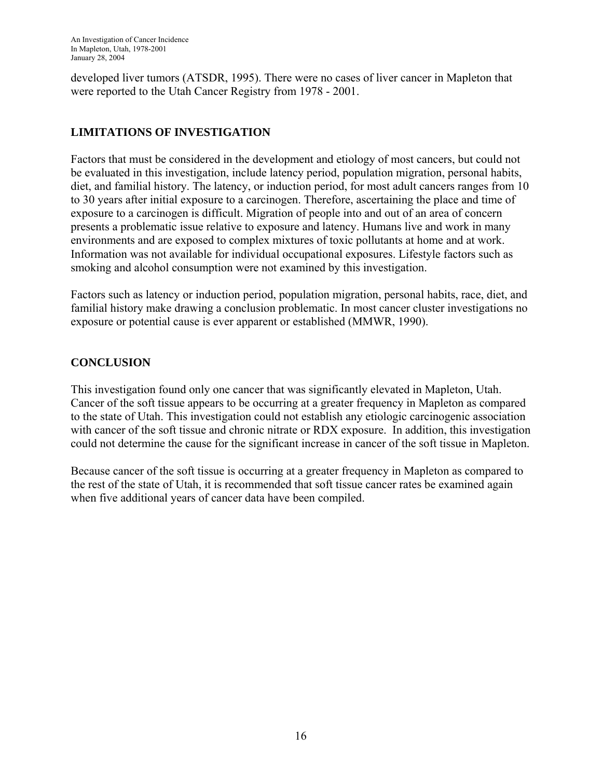<span id="page-18-0"></span>developed liver tumors (ATSDR, 1995). There were no cases of liver cancer in Mapleton that were reported to the Utah Cancer Registry from 1978 - 2001.

# **LIMITATIONS OF INVESTIGATION**

Factors that must be considered in the development and etiology of most cancers, but could not be evaluated in this investigation, include latency period, population migration, personal habits, diet, and familial history. The latency, or induction period, for most adult cancers ranges from 10 to 30 years after initial exposure to a carcinogen. Therefore, ascertaining the place and time of exposure to a carcinogen is difficult. Migration of people into and out of an area of concern presents a problematic issue relative to exposure and latency. Humans live and work in many environments and are exposed to complex mixtures of toxic pollutants at home and at work. Information was not available for individual occupational exposures. Lifestyle factors such as smoking and alcohol consumption were not examined by this investigation.

Factors such as latency or induction period, population migration, personal habits, race, diet, and familial history make drawing a conclusion problematic. In most cancer cluster investigations no exposure or potential cause is ever apparent or established (MMWR, 1990).

# **CONCLUSION**

This investigation found only one cancer that was significantly elevated in Mapleton, Utah. Cancer of the soft tissue appears to be occurring at a greater frequency in Mapleton as compared to the state of Utah. This investigation could not establish any etiologic carcinogenic association with cancer of the soft tissue and chronic nitrate or RDX exposure. In addition, this investigation could not determine the cause for the significant increase in cancer of the soft tissue in Mapleton.

Because cancer of the soft tissue is occurring at a greater frequency in Mapleton as compared to the rest of the state of Utah, it is recommended that soft tissue cancer rates be examined again when five additional years of cancer data have been compiled.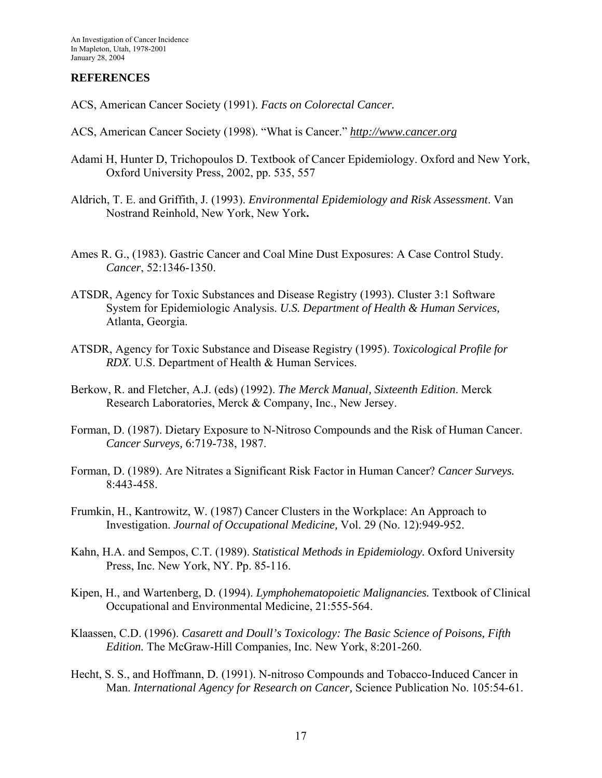#### <span id="page-19-0"></span>**REFERENCES**

- ACS, American Cancer Society (1991). *Facts on Colorectal Cancer.*
- ACS, American Cancer Society (1998). "What is Cancer." *[http://www.cancer.org](http://www.cancer.org/)*
- Adami H, Hunter D, Trichopoulos D. Textbook of Cancer Epidemiology. Oxford and New York, Oxford University Press, 2002, pp. 535, 557
- Aldrich, T. E. and Griffith, J. (1993). *Environmental Epidemiology and Risk Assessment*. Van Nostrand Reinhold, New York, New York**.**
- Ames R. G., (1983). Gastric Cancer and Coal Mine Dust Exposures: A Case Control Study. *Cancer*, 52:1346-1350.
- ATSDR, Agency for Toxic Substances and Disease Registry (1993). Cluster 3:1 Software System for Epidemiologic Analysis. *U.S. Department of Health & Human Services,*  Atlanta, Georgia.
- ATSDR, Agency for Toxic Substance and Disease Registry (1995). *Toxicological Profile for RDX.* U.S. Department of Health & Human Services.
- Berkow, R. and Fletcher, A.J. (eds) (1992). *The Merck Manual, Sixteenth Edition*. Merck Research Laboratories, Merck & Company, Inc., New Jersey.
- Forman, D. (1987). Dietary Exposure to N-Nitroso Compounds and the Risk of Human Cancer. *Cancer Surveys,* 6:719-738, 1987.
- Forman, D. (1989). Are Nitrates a Significant Risk Factor in Human Cancer? *Cancer Surveys.*  8:443-458.
- Frumkin, H., Kantrowitz, W. (1987) Cancer Clusters in the Workplace: An Approach to Investigation. *Journal of Occupational Medicine,* Vol. 29 (No. 12):949-952.
- Kahn, H.A. and Sempos, C.T. (1989). *Statistical Methods in Epidemiology.* Oxford University Press, Inc. New York, NY. Pp. 85-116.
- Kipen, H., and Wartenberg, D. (1994). *Lymphohematopoietic Malignancies.* Textbook of Clinical Occupational and Environmental Medicine, 21:555-564.
- Klaassen, C.D. (1996). *Casarett and Doull's Toxicology: The Basic Science of Poisons, Fifth Edition.* The McGraw-Hill Companies, Inc. New York, 8:201-260.
- Hecht, S. S., and Hoffmann, D. (1991). N-nitroso Compounds and Tobacco-Induced Cancer in Man. *International Agency for Research on Cancer,* Science Publication No. 105:54-61.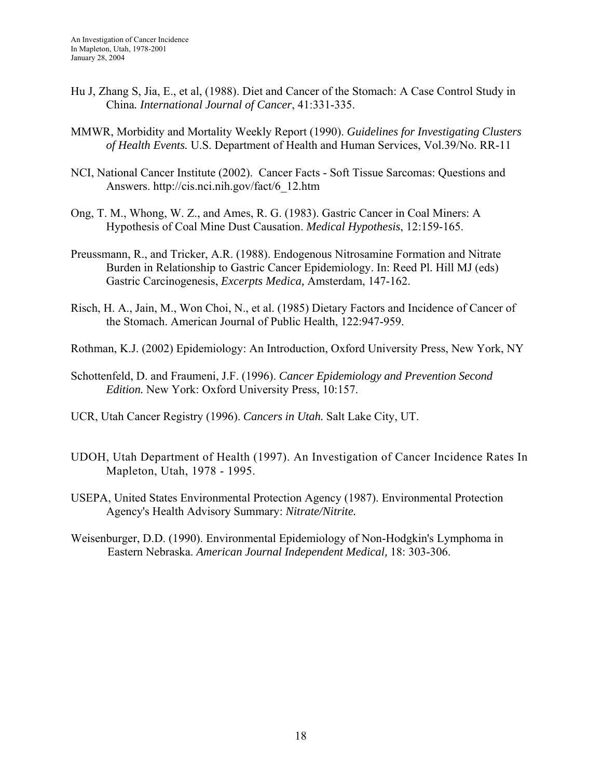- Hu J, Zhang S, Jia, E., et al, (1988). Diet and Cancer of the Stomach: A Case Control Study in China*. International Journal of Cancer*, 41:331-335.
- MMWR, Morbidity and Mortality Weekly Report (1990). *Guidelines for Investigating Clusters of Health Events.* U.S. Department of Health and Human Services, Vol.39/No. RR-11
- NCI, National Cancer Institute (2002). Cancer Facts Soft Tissue Sarcomas: Questions and Answers. [http://cis.nci.nih.gov/fact/6\\_12.htm](http://cis.nci.nih.gov/fact/6_12.htm)
- Ong, T. M., Whong, W. Z., and Ames, R. G. (1983). Gastric Cancer in Coal Miners: A Hypothesis of Coal Mine Dust Causation. *Medical Hypothesis*, 12:159-165.
- Preussmann, R., and Tricker, A.R. (1988). Endogenous Nitrosamine Formation and Nitrate Burden in Relationship to Gastric Cancer Epidemiology. In: Reed Pl. Hill MJ (eds) Gastric Carcinogenesis, *Excerpts Medica,* Amsterdam, 147-162.
- Risch, H. A., Jain, M., Won Choi, N., et al. (1985) Dietary Factors and Incidence of Cancer of the Stomach. American Journal of Public Health, 122:947-959.
- Rothman, K.J. (2002) Epidemiology: An Introduction, Oxford University Press, New York, NY
- Schottenfeld, D. and Fraumeni, J.F. (1996). *Cancer Epidemiology and Prevention Second Edition.* New York: Oxford University Press, 10:157.
- UCR, Utah Cancer Registry (1996). *Cancers in Utah.* Salt Lake City, UT.
- UDOH, Utah Department of Health (1997). An Investigation of Cancer Incidence Rates In Mapleton, Utah, 1978 - 1995.
- USEPA, United States Environmental Protection Agency (1987). Environmental Protection Agency's Health Advisory Summary: *Nitrate/Nitrite.*
- Weisenburger, D.D. (1990). Environmental Epidemiology of Non-Hodgkin's Lymphoma in Eastern Nebraska. *American Journal Independent Medical,* 18: 303-306.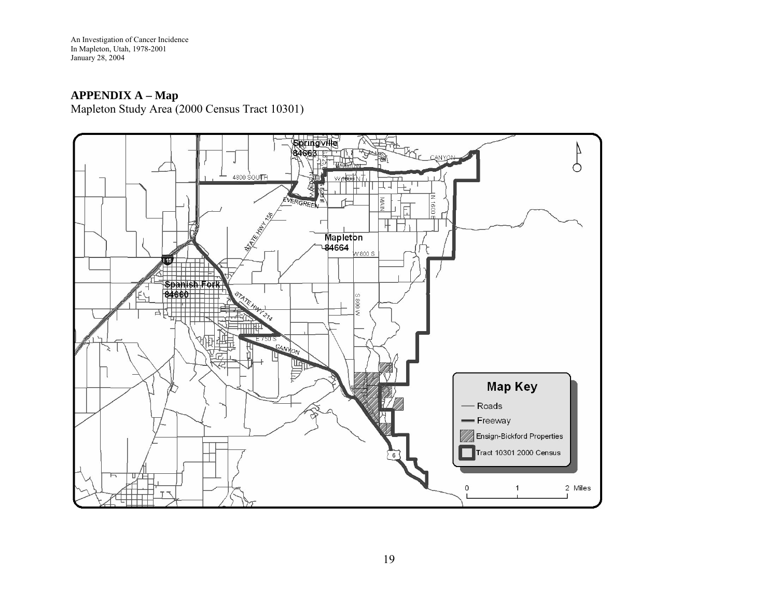nvestigation of Cancer Incidence n Mapleton, Utah, 1978-2001 y 28, 2004 An I I Januar

## **APPENDIX A – Map**

Mapleton Study Area (2000 Census Tract 10301)

<span id="page-21-0"></span>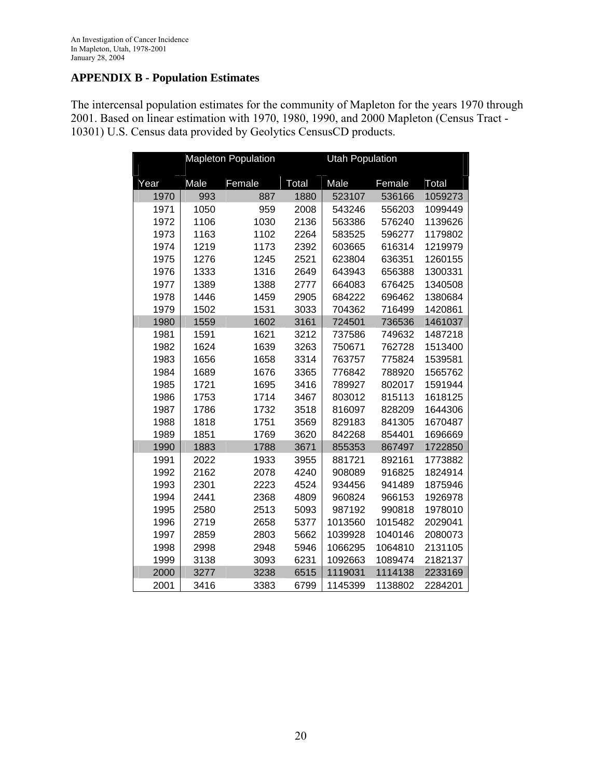# <span id="page-22-0"></span>**APPENDIX B - Population Estimates**

The intercensal population estimates for the community of Mapleton for the years 1970 through 2001. Based on linear estimation with 1970, 1980, 1990, and 2000 Mapleton (Census Tract - 10301) U.S. Census data provided by Geolytics CensusCD products.

|      | <b>Mapleton Population</b> |        |       | <b>Utah Population</b> |         |         |  |
|------|----------------------------|--------|-------|------------------------|---------|---------|--|
| Year | Male                       | Female | Total | Male                   | Female  | Total   |  |
| 1970 | 993                        | 887    | 1880  | 523107                 | 536166  | 1059273 |  |
| 1971 | 1050                       | 959    | 2008  | 543246                 | 556203  | 1099449 |  |
| 1972 | 1106                       | 1030   | 2136  | 563386                 | 576240  | 1139626 |  |
| 1973 | 1163                       | 1102   | 2264  | 583525                 | 596277  | 1179802 |  |
| 1974 | 1219                       | 1173   | 2392  | 603665                 | 616314  | 1219979 |  |
| 1975 | 1276                       | 1245   | 2521  | 623804                 | 636351  | 1260155 |  |
| 1976 | 1333                       | 1316   | 2649  | 643943                 | 656388  | 1300331 |  |
| 1977 | 1389                       | 1388   | 2777  | 664083                 | 676425  | 1340508 |  |
| 1978 | 1446                       | 1459   | 2905  | 684222                 | 696462  | 1380684 |  |
| 1979 | 1502                       | 1531   | 3033  | 704362                 | 716499  | 1420861 |  |
| 1980 | 1559                       | 1602   | 3161  | 724501                 | 736536  | 1461037 |  |
| 1981 | 1591                       | 1621   | 3212  | 737586                 | 749632  | 1487218 |  |
| 1982 | 1624                       | 1639   | 3263  | 750671                 | 762728  | 1513400 |  |
| 1983 | 1656                       | 1658   | 3314  | 763757                 | 775824  | 1539581 |  |
| 1984 | 1689                       | 1676   | 3365  | 776842                 | 788920  | 1565762 |  |
| 1985 | 1721                       | 1695   | 3416  | 789927                 | 802017  | 1591944 |  |
| 1986 | 1753                       | 1714   | 3467  | 803012                 | 815113  | 1618125 |  |
| 1987 | 1786                       | 1732   | 3518  | 816097                 | 828209  | 1644306 |  |
| 1988 | 1818                       | 1751   | 3569  | 829183                 | 841305  | 1670487 |  |
| 1989 | 1851                       | 1769   | 3620  | 842268                 | 854401  | 1696669 |  |
| 1990 | 1883                       | 1788   | 3671  | 855353                 | 867497  | 1722850 |  |
| 1991 | 2022                       | 1933   | 3955  | 881721                 | 892161  | 1773882 |  |
| 1992 | 2162                       | 2078   | 4240  | 908089                 | 916825  | 1824914 |  |
| 1993 | 2301                       | 2223   | 4524  | 934456                 | 941489  | 1875946 |  |
| 1994 | 2441                       | 2368   | 4809  | 960824                 | 966153  | 1926978 |  |
| 1995 | 2580                       | 2513   | 5093  | 987192                 | 990818  | 1978010 |  |
| 1996 | 2719                       | 2658   | 5377  | 1013560                | 1015482 | 2029041 |  |
| 1997 | 2859                       | 2803   | 5662  | 1039928                | 1040146 | 2080073 |  |
| 1998 | 2998                       | 2948   | 5946  | 1066295                | 1064810 | 2131105 |  |
| 1999 | 3138                       | 3093   | 6231  | 1092663                | 1089474 | 2182137 |  |
| 2000 | 3277                       | 3238   | 6515  | 1119031                | 1114138 | 2233169 |  |
| 2001 | 3416                       | 3383   | 6799  | 1145399                | 1138802 | 2284201 |  |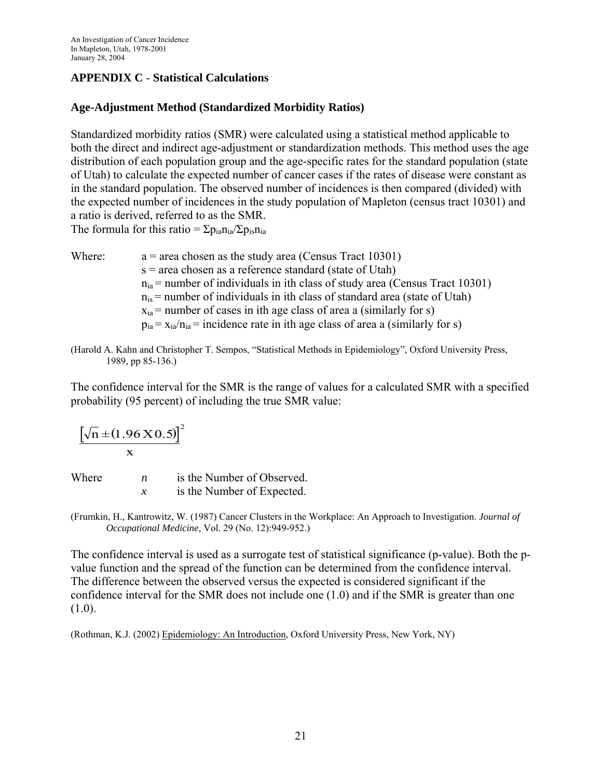# <span id="page-23-0"></span>**APPENDIX C** - **Statistical Calculations**

#### **Age-Adjustment Method (Standardized Morbidity Ratios)**

Standardized morbidity ratios (SMR) were calculated using a statistical method applicable to both the direct and indirect age-adjustment or standardization methods. This method uses the age distribution of each population group and the age-specific rates for the standard population (state of Utah) to calculate the expected number of cancer cases if the rates of disease were constant as in the standard population. The observed number of incidences is then compared (divided) with the expected number of incidences in the study population of Mapleton (census tract 10301) and a ratio is derived, referred to as the SMR. The formula for this ratio =  $\Sigma p_{ia}n_{ia}/\Sigma p_{is}n_{ia}$ 

- Where:  $a = \text{area chosen as the study area (Census Tract } 10301)$ s = area chosen as a reference standard (state of Utah)  $n_{ia}$  = number of individuals in ith class of study area (Census Tract 10301)  $n_{is}$  = number of individuals in ith class of standard area (state of Utah)  $x_{ia}$  = number of cases in ith age class of area a (similarly for s)  $p_{ia} = x_{ia}/n_{ia}$  = incidence rate in ith age class of area a (similarly for s)
- (Harold A. Kahn and Christopher T. Sempos, "Statistical Methods in Epidemiology", Oxford University Press, 1989, pp 85-136.)

The confidence interval for the SMR is the range of values for a calculated SMR with a specified probability (95 percent) of including the true SMR value:

 $[\sqrt{n} \pm (1.96 \text{ X } 0.5)]$ x  $\pm (1.96 \text{ X} 0.5)^2$ 

| Where | п | is the Number of Observed. |
|-------|---|----------------------------|
|       |   | is the Number of Expected. |

(Frumkin, H., Kantrowitz, W. (1987) Cancer Clusters in the Workplace: An Approach to Investigation. *Journal of Occupational Medicine,* Vol. 29 (No. 12):949-952.)

The confidence interval is used as a surrogate test of statistical significance (p-value). Both the pvalue function and the spread of the function can be determined from the confidence interval. The difference between the observed versus the expected is considered significant if the confidence interval for the SMR does not include one (1.0) and if the SMR is greater than one  $(1.0).$ 

(Rothman, K.J. (2002) Epidemiology: An Introduction, Oxford University Press, New York, NY)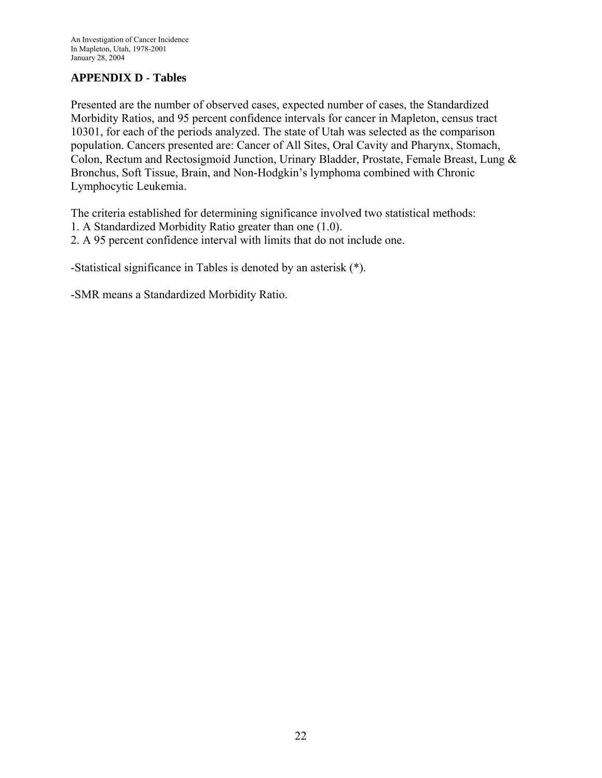# <span id="page-24-0"></span>**APPENDIX D** - **Tables**

Presented are the number of observed cases, expected number of cases, the Standardized Morbidity Ratios, and 95 percent confidence intervals for cancer in Mapleton, census tract 10301, for each of the periods analyzed. The state of Utah was selected as the comparison population. Cancers presented are: Cancer of All Sites, Oral Cavity and Pharynx, Stomach, Colon, Rectum and Rectosigmoid Junction, Urinary Bladder, Prostate, Female Breast, Lung & Bronchus, Soft Tissue, Brain, and Non-Hodgkin's lymphoma combined with Chronic Lymphocytic Leukemia.

The criteria established for determining significance involved two statistical methods:

1. A Standardized Morbidity Ratio greater than one (1.0).

2. A 95 percent confidence interval with limits that do not include one.

-Statistical significance in Tables is denoted by an asterisk (\*).

-SMR means a Standardized Morbidity Ratio.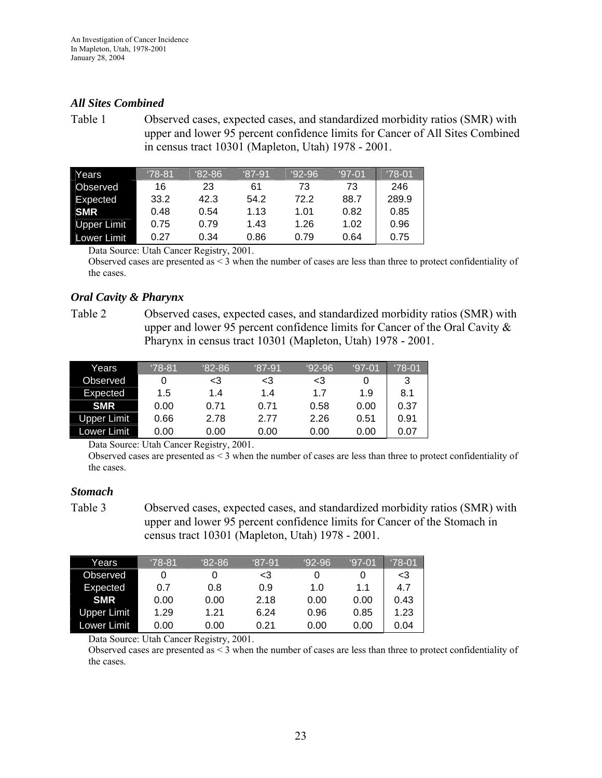#### <span id="page-25-0"></span>*All Sites Combined*

Table 1 Observed cases, expected cases, and standardized morbidity ratios (SMR) with upper and lower 95 percent confidence limits for Cancer of All Sites Combined in census tract 10301 (Mapleton, Utah) 1978 - 2001.

| Years              | $78-81$ | $82 - 86$ | $87-91$ | $92-96$ | $97-01$ | $'78-01$ |
|--------------------|---------|-----------|---------|---------|---------|----------|
| <b>Observed</b>    | 16      | 23        | 61      | 73      | 73      | 246      |
| Expected           | 33.2    | 42.3      | 54.2    | 72.2    | 88.7    | 289.9    |
| <b>SMR</b>         | 0.48    | 0.54      | 1.13    | 1.01    | 0.82    | 0.85     |
| <b>Upper Limit</b> | 0.75    | 0.79      | 1.43    | 1.26    | 1.02    | 0.96     |
| Lower Limit        | 0.27    | 0.34      | 0.86    | 0.79    | 0.64    | 0.75     |

Data Source: Utah Cancer Registry, 2001.

Observed cases are presented as  $\leq$  3 when the number of cases are less than three to protect confidentiality of the cases.

#### *Oral Cavity & Pharynx*

Table 2 Observed cases, expected cases, and standardized morbidity ratios (SMR) with upper and lower 95 percent confidence limits for Cancer of the Oral Cavity & Pharynx in census tract 10301 (Mapleton, Utah) 1978 - 2001.

| Years       | $178 - 81$ | $82 - 86$ | $87-91$ | $92-96$ | '97-01 | $^{\circ}78$ -01 |
|-------------|------------|-----------|---------|---------|--------|------------------|
| Observed    | O          | <3        | <3      | <3      | 0      |                  |
| Expected    | 1.5        | 1.4       | 1.4     | 1.7     | 1.9    | 8.1              |
| <b>SMR</b>  | 0.00       | 0.71      | 0.71    | 0.58    | 0.00   | 0.37             |
| Upper Limit | 0.66       | 2.78      | 2.77    | 2.26    | 0.51   | 0.91             |
| Lower Limit | 0.00       | 0.00      | 0.00    | 0.00    | 0.00   | 0.07             |

Data Source: Utah Cancer Registry, 2001.

Observed cases are presented as  $\leq$  3 when the number of cases are less than three to protect confidentiality of the cases.

#### *Stomach*

Table 3 Observed cases, expected cases, and standardized morbidity ratios (SMR) with upper and lower 95 percent confidence limits for Cancer of the Stomach in census tract 10301 (Mapleton, Utah) 1978 - 2001.

| Years       | $'78-81$ | $82 - 86$ | '87-91' | $92-96$ | $97-01$ | $'78 - 01'$ |
|-------------|----------|-----------|---------|---------|---------|-------------|
| Observed    |          |           | <3      | O       |         | <3          |
| Expected    | 0.7      | 0.8       | 0.9     | 1.0     | 11      | 4.7         |
| <b>SMR</b>  | 0.00     | 0.00      | 2.18    | 0.00    | 0.00    | 0.43        |
| Upper Limit | 1.29     | 1.21      | 6.24    | 0.96    | 0.85    | 1.23        |
| Lower Limit | 0.00     | 0.00      | 0.21    | 0.00    | 0.00    | 0.04        |

Data Source: Utah Cancer Registry, 2001.

Observed cases are presented as  $\leq$  3 when the number of cases are less than three to protect confidentiality of the cases.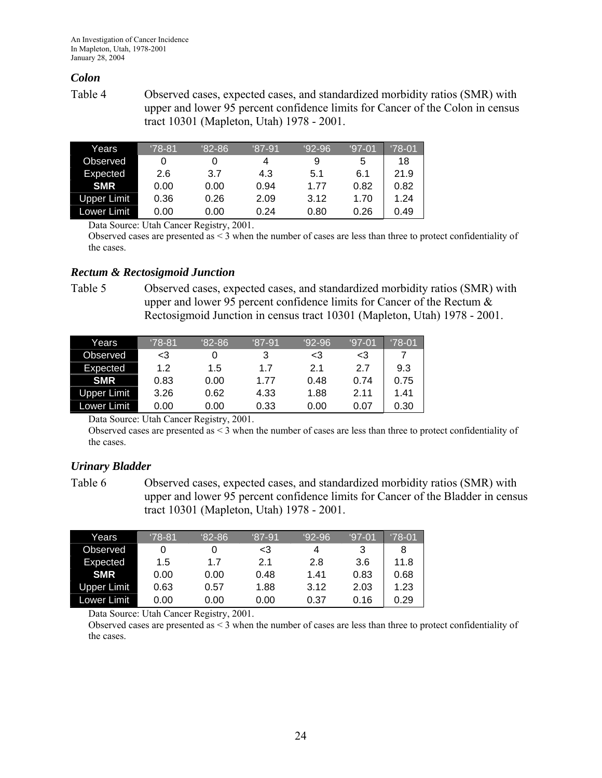### <span id="page-26-0"></span>*Colon*

Table 4 Observed cases, expected cases, and standardized morbidity ratios (SMR) with upper and lower 95 percent confidence limits for Cancer of the Colon in census tract 10301 (Mapleton, Utah) 1978 - 2001.

| Years       | $'78-81$ | $82 - 86$ | $^{\circ}87 - 91$ | $92-96$ | $97-01$ | $'78-01$ |
|-------------|----------|-----------|-------------------|---------|---------|----------|
| Observed    | 0        |           | 4                 | 9       | 5       | 18       |
| Expected    | 2.6      | 3.7       | 4.3               | 5.1     | 6.1     | 21.9     |
| <b>SMR</b>  | 0.00     | 0.00      | 0.94              | 1 77    | 0.82    | 0.82     |
| Upper Limit | 0.36     | 0.26      | 2.09              | 3.12    | 1.70    | 1.24     |
| Lower Limit | 0.00     | 0.00      | 0.24              | 0.80    | 0.26    | 0.49     |

Data Source: Utah Cancer Registry, 2001.

Observed cases are presented as  $\leq$  3 when the number of cases are less than three to protect confidentiality of the cases.

#### *Rectum & Rectosigmoid Junction*

Table 5 Observed cases, expected cases, and standardized morbidity ratios (SMR) with upper and lower 95 percent confidence limits for Cancer of the Rectum  $\&$ Rectosigmoid Junction in census tract 10301 (Mapleton, Utah) 1978 - 2001.

| Years       | '78-81 | $82 - 86$ | '87-91 | $92-96$ | '97-01 | '78-01 |
|-------------|--------|-----------|--------|---------|--------|--------|
| Observed    | <3     |           | 3      | <3      | <3     |        |
| Expected    | 1.2    | 1.5       | 1.7    | 21      | 2.7    | 9.3    |
| <b>SMR</b>  | 0.83   | 0.00      | 1.77   | 0.48    | 0.74   | 0.75   |
| Upper Limit | 3.26   | 0.62      | 4.33   | 1.88    | 2.11   | 1.41   |
| Lower Limit | 0.00   | 0.00      | 0.33   | 0.00    | 0.07   | 0.30   |

Data Source: Utah Cancer Registry, 2001.

Observed cases are presented as  $\leq$  3 when the number of cases are less than three to protect confidentiality of the cases.

### *Urinary Bladder*

Table 6 Observed cases, expected cases, and standardized morbidity ratios (SMR) with upper and lower 95 percent confidence limits for Cancer of the Bladder in census tract 10301 (Mapleton, Utah) 1978 - 2001.

| Years              | $178 - 81$ | '82-86 | $'87-91$ | $92-96$ | '97-01 | $'78-01$ |
|--------------------|------------|--------|----------|---------|--------|----------|
| Observed           |            |        | <3       | 4       | 3      | 8        |
| Expected           | 1.5        | 17     | 2.1      | 2.8     | 3.6    | 11.8     |
| <b>SMR</b>         | 0.00       | 0.00   | 0.48     | 1.41    | 0.83   | 0.68     |
| <b>Upper Limit</b> | 0.63       | 0.57   | 1.88     | 3.12    | 2.03   | 1.23     |
| Lower Limit        | 0.00       | 0.00   | 0.00     | 0.37    | 0.16   | 0.29     |

Data Source: Utah Cancer Registry, 2001.

Observed cases are presented as < 3 when the number of cases are less than three to protect confidentiality of the cases.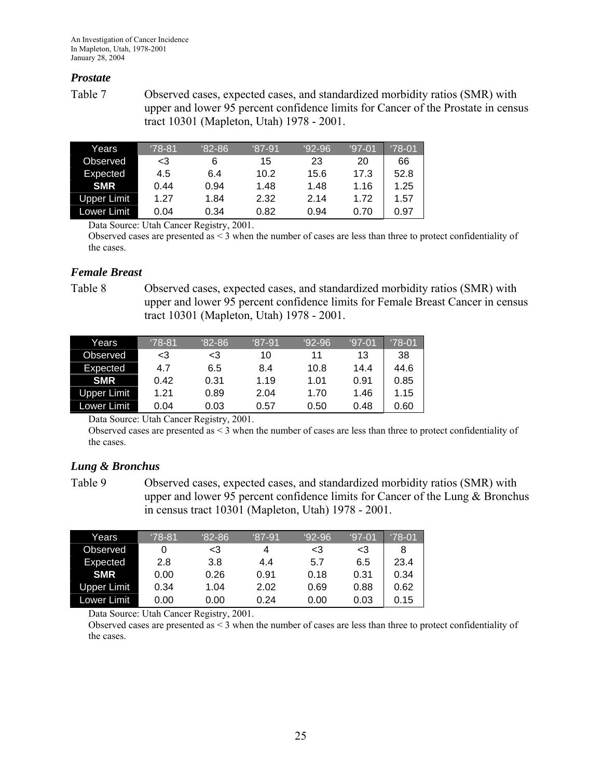#### <span id="page-27-0"></span>*Prostate*

Table 7 Observed cases, expected cases, and standardized morbidity ratios (SMR) with upper and lower 95 percent confidence limits for Cancer of the Prostate in census tract 10301 (Mapleton, Utah) 1978 - 2001.

| Years              | $'78-81$ | $82 - 86$ | $87-91$ | $92-96$ | $97-01$ | $'78-01$ |
|--------------------|----------|-----------|---------|---------|---------|----------|
| Observed           | -3       | 6         | 15      | 23      | 20      | 66       |
| Expected           | 4.5      | 6.4       | 10.2    | 15.6    | 17.3    | 52.8     |
| <b>SMR</b>         | 0.44     | 0.94      | 1.48    | 1.48    | 1.16    | 1.25     |
| <b>Upper Limit</b> | 1.27     | 1.84      | 2.32    | 2 14    | 1.72    | 1.57     |
| Lower Limit⊺       | 0.04     | 0.34      | 0.82    | 0.94    | 0.70    | 0.97     |

Data Source: Utah Cancer Registry, 2001.

Observed cases are presented as  $\leq$  3 when the number of cases are less than three to protect confidentiality of the cases.

#### *Female Breast*

Table 8 Observed cases, expected cases, and standardized morbidity ratios (SMR) with upper and lower 95 percent confidence limits for Female Breast Cancer in census tract 10301 (Mapleton, Utah) 1978 - 2001.

| Years       | $'78-81$ | $82 - 86$ | $87-91$ | $92-96$ | $97-01$ | $'78-01$ |
|-------------|----------|-----------|---------|---------|---------|----------|
| Observed    | <3       | <3        | 10      | 11      | 13      | 38       |
| Expected    | 4.7      | 6.5       | 8.4     | 10.8    | 14.4    | 44.6     |
| <b>SMR</b>  | 0.42     | 0.31      | 1.19    | 1.01    | 0.91    | 0.85     |
| Upper Limit | 1.21     | 0.89      | 2.04    | 1.70    | 1.46    | 1.15     |
| Lower Limit | 0.04     | 0.03      | 0.57    | 0.50    | 0.48    | 0.60     |

Data Source: Utah Cancer Registry, 2001.

Observed cases are presented as  $\leq$  3 when the number of cases are less than three to protect confidentiality of the cases.

### *Lung & Bronchus*

Table 9 Observed cases, expected cases, and standardized morbidity ratios (SMR) with upper and lower 95 percent confidence limits for Cancer of the Lung & Bronchus in census tract 10301 (Mapleton, Utah) 1978 - 2001.

| Years       | $'78-81$ | $82 - 86$ | $87-91$ | $92-96$ | $97-01$ | $'78-01$ |
|-------------|----------|-----------|---------|---------|---------|----------|
| Observed    | 0        | <3        | 4       | <3      | <3      | 8        |
| Expected    | 2.8      | 3.8       | 4.4     | 5.7     | 6.5     | 23.4     |
| <b>SMR</b>  | 0.00     | 0.26      | 0.91    | 0.18    | 0.31    | 0.34     |
| Upper Limit | 0.34     | 1.04      | 2.02    | 0.69    | 0.88    | 0.62     |
| Lower Limit | 0.00     | 0.00      | 0.24    | 0.00    | 0.03    | 0.15     |

Data Source: Utah Cancer Registry, 2001.

Observed cases are presented as  $\leq$  3 when the number of cases are less than three to protect confidentiality of the cases.